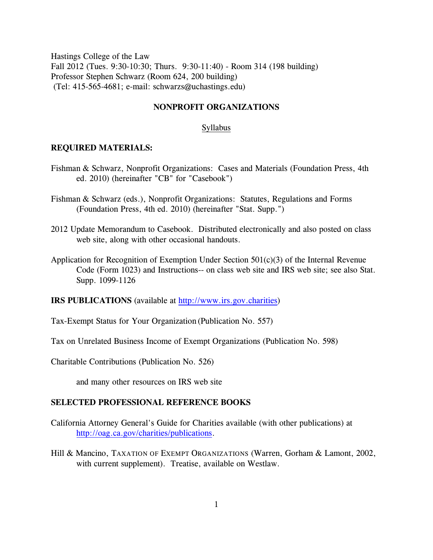Hastings College of the Law Fall 2012 (Tues. 9:30-10:30; Thurs. 9:30-11:40) - Room 314 (198 building) Professor Stephen Schwarz (Room 624, 200 building) (Tel: 415-565-4681; e-mail: schwarzs@uchastings.edu)

### **NONPROFIT ORGANIZATIONS**

## Syllabus

### **REQUIRED MATERIALS:**

- Fishman & Schwarz, Nonprofit Organizations: Cases and Materials (Foundation Press, 4th ed. 2010) (hereinafter "CB" for "Casebook")
- Fishman & Schwarz (eds.), Nonprofit Organizations: Statutes, Regulations and Forms (Foundation Press, 4th ed. 2010) (hereinafter "Stat. Supp.")
- 2012 Update Memorandum to Casebook. Distributed electronically and also posted on class web site, along with other occasional handouts.
- Application for Recognition of Exemption Under Section 501(c)(3) of the Internal Revenue Code (Form 1023) and Instructions-- on class web site and IRS web site; see also Stat. Supp. 1099-1126

**IRS PUBLICATIONS** (available at [http://www.irs.gov.charities](http://www.irs.gov/charities))

Tax-Exempt Status for Your Organization (Publication No. 557)

Tax on Unrelated Business Income of Exempt Organizations (Publication No. 598)

Charitable Contributions (Publication No. 526)

and many other resources on IRS web site

### **SELECTED PROFESSIONAL REFERENCE BOOKS**

- California Attorney General's Guide for Charities available (with other publications) at <http://oag.ca.gov/charities/publications>.
- Hill & Mancino, TAXATION OF EXEMPT ORGANIZATIONS (Warren, Gorham & Lamont, 2002, with current supplement). Treatise, available on Westlaw.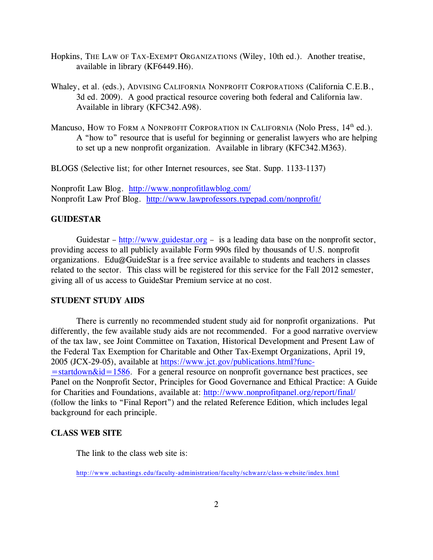- Hopkins, THE LAW OF TAX-EXEMPT ORGANIZATIONS (Wiley, 10th ed.). Another treatise, available in library (KF6449.H6).
- Whaley, et al. (eds.), ADVISING CALIFORNIA NONPROFIT CORPORATIONS (California C.E.B., 3d ed. 2009). A good practical resource covering both federal and California law. Available in library (KFC342.A98).
- Mancuso, How to Form a Nonprofit Corporation in California (Nolo Press, 14<sup>th</sup> ed.). A "how to" resource that is useful for beginning or generalist lawyers who are helping to set up a new nonprofit organization. Available in library (KFC342.M363).

BLOGS (Selective list; for other Internet resources, see Stat. Supp. 1133-1137)

Nonprofit Law Blog. <http://www.nonprofitlawblog.com/> Nonprofit Law Prof Blog. <http://www.lawprofessors.typepad.com/nonprofit/>

## **GUIDESTAR**

Guidestar –<http://www.guidestar.org> – is a leading data base on the nonprofit sector, providing access to all publicly available Form 990s filed by thousands of U.S. nonprofit organizations. Edu@GuideStar is a free service available to students and teachers in classes related to the sector. This class will be registered for this service for the Fall 2012 semester, giving all of us access to GuideStar Premium service at no cost.

## **STUDENT STUDY AIDS**

There is currently no recommended student study aid for nonprofit organizations. Put differently, the few available study aids are not recommended. For a good narrative overview of the tax law, see Joint Committee on Taxation, Historical Development and Present Law of the Federal Tax Exemption for Charitable and Other Tax-Exempt Organizations, April 19, 2005 (JCX-29-05), available at [https://www.jct.gov/publications.html?func-](https://www.jct.gov/publications.html?func=startdown&id=1586)  $=$ startdown $\&$ id $=$ 1586. For a general resource on nonprofit governance best practices, see Panel on the Nonprofit Sector, Principles for Good Governance and Ethical Practice: A Guide for Charities and Foundations, available at: <http://www.nonprofitpanel.org/report/final/> (follow the links to "Final Report") and the related Reference Edition, which includes legal background for each principle.

## **CLASS WEB SITE**

The link to the class web site is:

<http://www.uchastings.edu/faculty-administration/faculty/schwarz/class-website/index.html>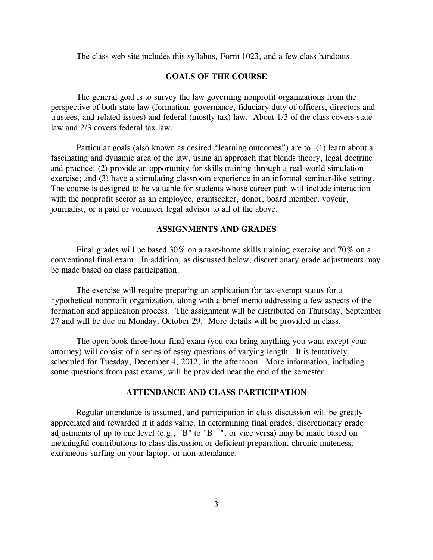The class web site includes this syllabus, Form 1023, and a few class handouts.

### **GOALS OF THE COURSE**

The general goal is to survey the law governing nonprofit organizations from the perspective of both state law (formation, governance, fiduciary duty of officers, directors and trustees, and related issues) and federal (mostly tax) law. About 1/3 of the class covers state law and 2/3 covers federal tax law.

Particular goals (also known as desired "learning outcomes") are to: (1) learn about a fascinating and dynamic area of the law, using an approach that blends theory, legal doctrine and practice; (2) provide an opportunity for skills training through a real-world simulation exercise; and (3) have a stimulating classroom experience in an informal seminar-like setting. The course is designed to be valuable for students whose career path will include interaction with the nonprofit sector as an employee, grantseeker, donor, board member, voyeur, journalist, or a paid or volunteer legal advisor to all of the above.

### **ASSIGNMENTS AND GRADES**

Final grades will be based 30% on a take-home skills training exercise and 70% on a conventional final exam. In addition, as discussed below, discretionary grade adjustments may be made based on class participation.

The exercise will require preparing an application for tax-exempt status for a hypothetical nonprofit organization, along with a brief memo addressing a few aspects of the formation and application process. The assignment will be distributed on Thursday, September 27 and will be due on Monday, October 29. More details will be provided in class.

The open book three-hour final exam (you can bring anything you want except your attorney) will consist of a series of essay questions of varying length. It is tentatively scheduled for Tuesday, December 4, 2012, in the afternoon. More information, including some questions from past exams, will be provided near the end of the semester.

### **ATTENDANCE AND CLASS PARTICIPATION**

Regular attendance is assumed, and participation in class discussion will be greatly appreciated and rewarded if it adds value. In determining final grades, discretionary grade adjustments of up to one level (e.g., "B" to "B+", or vice versa) may be made based on meaningful contributions to class discussion or deficient preparation, chronic muteness, extraneous surfing on your laptop, or non-attendance.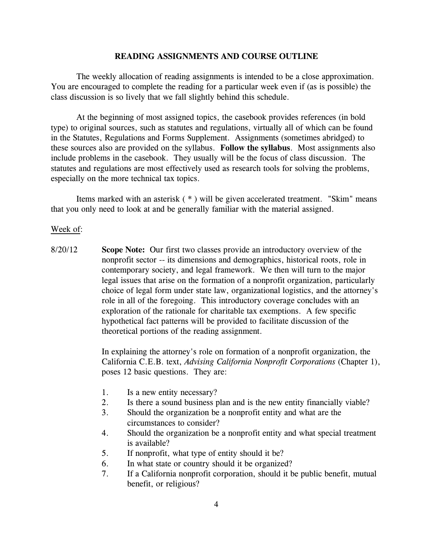### **READING ASSIGNMENTS AND COURSE OUTLINE**

The weekly allocation of reading assignments is intended to be a close approximation. You are encouraged to complete the reading for a particular week even if (as is possible) the class discussion is so lively that we fall slightly behind this schedule.

At the beginning of most assigned topics, the casebook provides references (in bold type) to original sources, such as statutes and regulations, virtually all of which can be found in the Statutes, Regulations and Forms Supplement. Assignments (sometimes abridged) to these sources also are provided on the syllabus. **Follow the syllabus**. Most assignments also include problems in the casebook. They usually will be the focus of class discussion. The statutes and regulations are most effectively used as research tools for solving the problems, especially on the more technical tax topics.

Items marked with an asterisk ( \* ) will be given accelerated treatment. "Skim" means that you only need to look at and be generally familiar with the material assigned.

#### Week of:

8/20/12 **Scope Note:** Our first two classes provide an introductory overview of the nonprofit sector -- its dimensions and demographics, historical roots, role in contemporary society, and legal framework. We then will turn to the major legal issues that arise on the formation of a nonprofit organization, particularly choice of legal form under state law, organizational logistics, and the attorney's role in all of the foregoing. This introductory coverage concludes with an exploration of the rationale for charitable tax exemptions. A few specific hypothetical fact patterns will be provided to facilitate discussion of the theoretical portions of the reading assignment.

> In explaining the attorney's role on formation of a nonprofit organization, the California C.E.B. text, *Advising California Nonprofit Corporations* (Chapter 1), poses 12 basic questions. They are:

- 1. Is a new entity necessary?
- 2. Is there a sound business plan and is the new entity financially viable?
- 3. Should the organization be a nonprofit entity and what are the circumstances to consider?
- 4. Should the organization be a nonprofit entity and what special treatment is available?
- 5. If nonprofit, what type of entity should it be?
- 6. In what state or country should it be organized?
- 7. If a California nonprofit corporation, should it be public benefit, mutual benefit, or religious?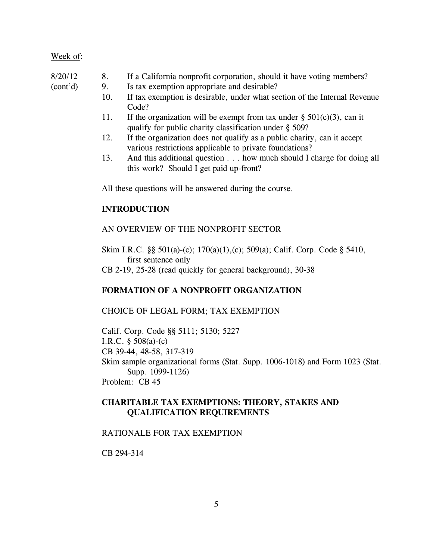## 8/20/12 8. If a California nonprofit corporation, should it have voting members?

- (cont'd) 9. Is tax exemption appropriate and desirable?
	- 10. If tax exemption is desirable, under what section of the Internal Revenue Code?
	- 11. If the organization will be exempt from tax under  $\S$  501(c)(3), can it qualify for public charity classification under § 509?
	- 12. If the organization does not qualify as a public charity, can it accept various restrictions applicable to private foundations?
	- 13. And this additional question . . . how much should I charge for doing all this work? Should I get paid up-front?

All these questions will be answered during the course.

## **INTRODUCTION**

## AN OVERVIEW OF THE NONPROFIT SECTOR

Skim I.R.C. §§ 501(a)-(c); 170(a)(1),(c); 509(a); Calif. Corp. Code § 5410, first sentence only

CB 2-19, 25-28 (read quickly for general background), 30-38

## **FORMATION OF A NONPROFIT ORGANIZATION**

### CHOICE OF LEGAL FORM; TAX EXEMPTION

Calif. Corp. Code §§ 5111; 5130; 5227 I.R.C. § 508(a)-(c) CB 39-44, 48-58, 317-319 Skim sample organizational forms (Stat. Supp. 1006-1018) and Form 1023 (Stat. Supp. 1099-1126) Problem: CB 45

## **CHARITABLE TAX EXEMPTIONS: THEORY, STAKES AND QUALIFICATION REQUIREMENTS**

### RATIONALE FOR TAX EXEMPTION

CB 294-314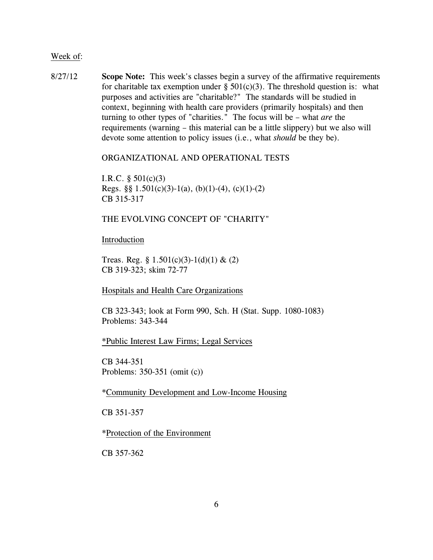8/27/12 **Scope Note:** This week's classes begin a survey of the affirmative requirements for charitable tax exemption under  $\S$  501(c)(3). The threshold question is: what purposes and activities are "charitable?" The standards will be studied in context, beginning with health care providers (primarily hospitals) and then turning to other types of "charities." The focus will be – what *are* the requirements (warning – this material can be a little slippery) but we also will devote some attention to policy issues (i.e., what *should* be they be).

### ORGANIZATIONAL AND OPERATIONAL TESTS

I.R.C.  $\S 501(c)(3)$ Regs. §§  $1.501(c)(3)-1(a)$ ,  $(b)(1)-(4)$ ,  $(c)(1)-(2)$ CB 315-317

# THE EVOLVING CONCEPT OF "CHARITY"

### Introduction

Treas. Reg. §  $1.501(c)(3)-1(d)(1)$  & (2) CB 319-323; skim 72-77

Hospitals and Health Care Organizations

CB 323-343; look at Form 990, Sch. H (Stat. Supp. 1080-1083) Problems: 343-344

\*Public Interest Law Firms; Legal Services

CB 344-351 Problems: 350-351 (omit (c))

\*Community Development and Low-Income Housing

CB 351-357

\*Protection of the Environment

CB 357-362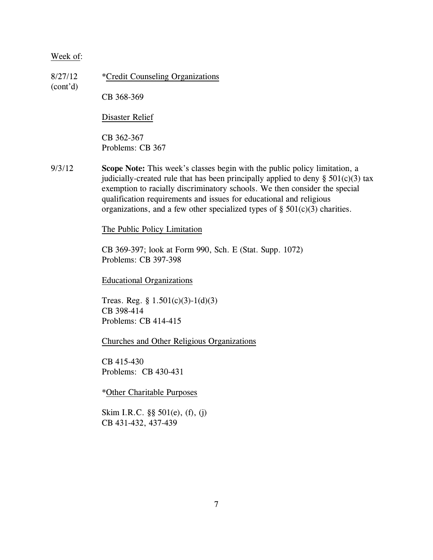8/27/12 \*Credit Counseling Organizations (cont'd) CB 368-369

Disaster Relief

CB 362-367 Problems: CB 367

9/3/12 **Scope Note:** This week's classes begin with the public policy limitation, a judicially-created rule that has been principally applied to deny  $\S$  501(c)(3) tax exemption to racially discriminatory schools. We then consider the special qualification requirements and issues for educational and religious organizations, and a few other specialized types of  $\S$  501(c)(3) charities.

The Public Policy Limitation

CB 369-397; look at Form 990, Sch. E (Stat. Supp. 1072) Problems: CB 397-398

Educational Organizations

Treas. Reg. § 1.501(c)(3)-1(d)(3) CB 398-414 Problems: CB 414-415

Churches and Other Religious Organizations

CB 415-430 Problems: CB 430-431

\*Other Charitable Purposes

Skim I.R.C. §§ 501(e), (f), (j) CB 431-432, 437-439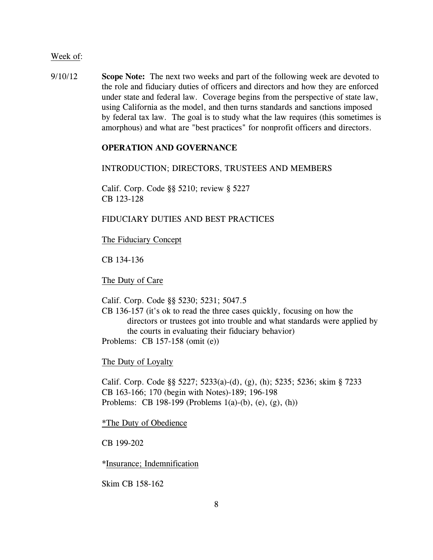9/10/12 **Scope Note:** The next two weeks and part of the following week are devoted to the role and fiduciary duties of officers and directors and how they are enforced under state and federal law. Coverage begins from the perspective of state law, using California as the model, and then turns standards and sanctions imposed by federal tax law. The goal is to study what the law requires (this sometimes is amorphous) and what are "best practices" for nonprofit officers and directors.

## **OPERATION AND GOVERNANCE**

### INTRODUCTION; DIRECTORS, TRUSTEES AND MEMBERS

Calif. Corp. Code §§ 5210; review § 5227 CB 123-128

# FIDUCIARY DUTIES AND BEST PRACTICES

The Fiduciary Concept

CB 134-136

The Duty of Care

Calif. Corp. Code §§ 5230; 5231; 5047.5

CB 136-157 (it's ok to read the three cases quickly, focusing on how the directors or trustees got into trouble and what standards were applied by the courts in evaluating their fiduciary behavior) Problems: CB 157-158 (omit (e))

The Duty of Loyalty

Calif. Corp. Code §§ 5227; 5233(a)-(d), (g), (h); 5235; 5236; skim § 7233 CB 163-166; 170 (begin with Notes)-189; 196-198 Problems: CB 198-199 (Problems 1(a)-(b), (e), (g), (h))

\*The Duty of Obedience

CB 199-202

\*Insurance; Indemnification

Skim CB 158-162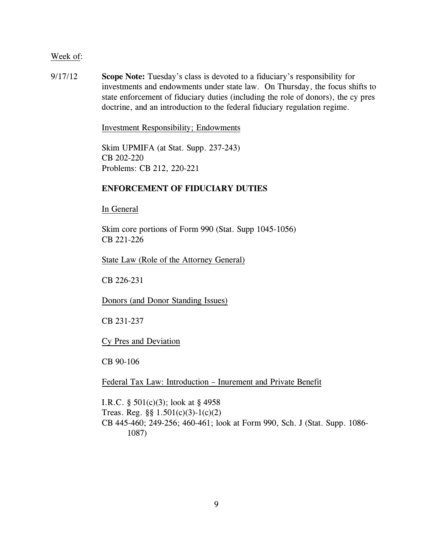9/17/12 **Scope Note:** Tuesday's class is devoted to a fiduciary's responsibility for investments and endowments under state law. On Thursday, the focus shifts to state enforcement of fiduciary duties (including the role of donors), the cy pres doctrine, and an introduction to the federal fiduciary regulation regime.

Investment Responsibility; Endowments

Skim UPMIFA (at Stat. Supp. 237-243) CB 202-220 Problems: CB 212, 220-221

## **ENFORCEMENT OF FIDUCIARY DUTIES**

In General

Skim core portions of Form 990 (Stat. Supp 1045-1056) CB 221-226

State Law (Role of the Attorney General)

CB 226-231

Donors (and Donor Standing Issues)

CB 231-237

Cy Pres and Deviation

CB 90-106

Federal Tax Law: Introduction – Inurement and Private Benefit

I.R.C. § 501(c)(3); look at § 4958 Treas. Reg. §§ 1.501(c)(3)-1(c)(2) CB 445-460; 249-256; 460-461; look at Form 990, Sch. J (Stat. Supp. 1086- 1087)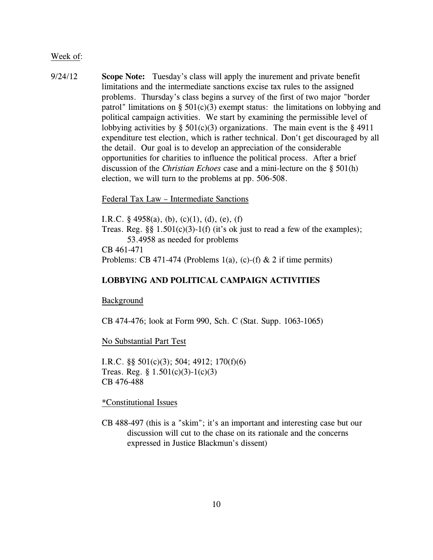9/24/12 **Scope Note:** Tuesday's class will apply the inurement and private benefit limitations and the intermediate sanctions excise tax rules to the assigned problems. Thursday's class begins a survey of the first of two major "border patrol" limitations on §  $501(c)(3)$  exempt status: the limitations on lobbying and political campaign activities. We start by examining the permissible level of lobbying activities by  $\S$  501(c)(3) organizations. The main event is the  $\S$  4911 expenditure test election, which is rather technical. Don't get discouraged by all the detail. Our goal is to develop an appreciation of the considerable opportunities for charities to influence the political process. After a brief discussion of the *Christian Echoes* case and a mini-lecture on the § 501(h) election, we will turn to the problems at pp. 506-508.

Federal Tax Law – Intermediate Sanctions

I.R.C.  $\S$  4958(a), (b), (c)(1), (d), (e), (f) Treas. Reg.  $\S\S 1.501(c)(3)-1(f)$  (it's ok just to read a few of the examples); 53.4958 as needed for problems CB 461-471 Problems: CB 471-474 (Problems 1(a), (c)-(f)  $\&$  2 if time permits)

## **LOBBYING AND POLITICAL CAMPAIGN ACTIVITIES**

#### Background

CB 474-476; look at Form 990, Sch. C (Stat. Supp. 1063-1065)

No Substantial Part Test

I.R.C. §§ 501(c)(3); 504; 4912; 170(f)(6) Treas. Reg.  $\S 1.501(c)(3)-1(c)(3)$ CB 476-488

\*Constitutional Issues

CB 488-497 (this is a "skim"; it's an important and interesting case but our discussion will cut to the chase on its rationale and the concerns expressed in Justice Blackmun's dissent)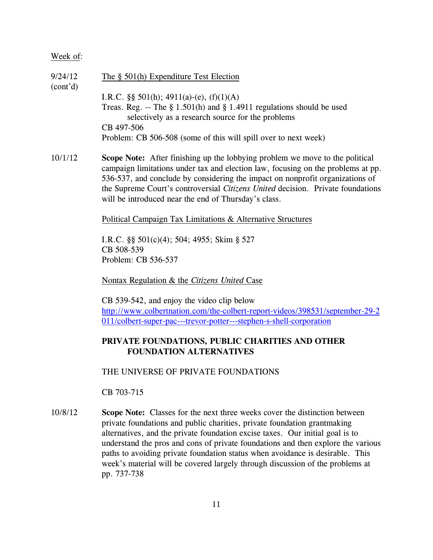| 9/24/12               | The $\S$ 501(h) Expenditure Test Election                                                                                        |
|-----------------------|----------------------------------------------------------------------------------------------------------------------------------|
| (cont <sup>'</sup> d) |                                                                                                                                  |
|                       | I.R.C. $\S$ § 501(h); 4911(a)-(e), (f)(1)(A)                                                                                     |
|                       | Treas. Reg. -- The $\S 1.501(h)$ and $\S 1.4911$ regulations should be used<br>selectively as a research source for the problems |
|                       | CB 497-506                                                                                                                       |
|                       | Problem: CB 506-508 (some of this will spill over to next week)                                                                  |

10/1/12 **Scope Note:** After finishing up the lobbying problem we move to the political campaign limitations under tax and election law, focusing on the problems at pp. 536-537, and conclude by considering the impact on nonprofit organizations of the Supreme Court's controversial *Citizens United* decision. Private foundations will be introduced near the end of Thursday's class.

### Political Campaign Tax Limitations & Alternative Structures

I.R.C. §§ 501(c)(4); 504; 4955; Skim § 527 CB 508-539 Problem: CB 536-537

Nontax Regulation & the *Citizens United* Case

CB 539-542, and enjoy the video clip below [http://www.colbertnation.com/the-colbert-report-videos/398531/september-29-2](http://www.colbertnation.com/the-colbert-report-videos/398531/september-29-2011/colbert-super-pac---trevor-potter---stephen-s-shell-corporation) [011/colbert-super-pac---trevor-potter---stephen-s-shell-corporation](http://www.colbertnation.com/the-colbert-report-videos/398531/september-29-2011/colbert-super-pac---trevor-potter---stephen-s-shell-corporation)

## **PRIVATE FOUNDATIONS, PUBLIC CHARITIES AND OTHER FOUNDATION ALTERNATIVES**

THE UNIVERSE OF PRIVATE FOUNDATIONS

CB 703-715

10/8/12 **Scope Note:** Classes for the next three weeks cover the distinction between private foundations and public charities, private foundation grantmaking alternatives, and the private foundation excise taxes. Our initial goal is to understand the pros and cons of private foundations and then explore the various paths to avoiding private foundation status when avoidance is desirable. This week's material will be covered largely through discussion of the problems at pp. 737-738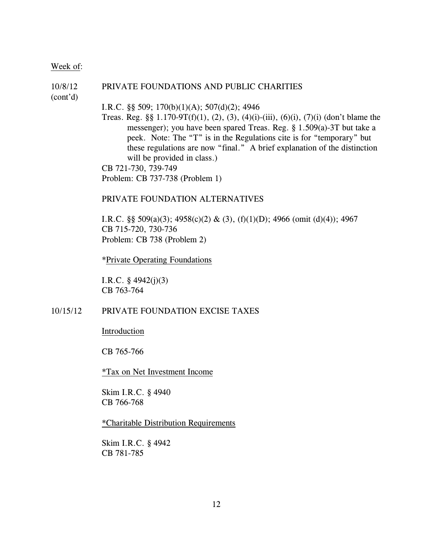## 10/8/12 PRIVATE FOUNDATIONS AND PUBLIC CHARITIES

(cont'd)

#### I.R.C. §§ 509; 170(b)(1)(A); 507(d)(2); 4946

Treas. Reg. §§  $1.170-9T(f)(1)$ ,  $(2)$ ,  $(3)$ ,  $(4)(i)-(iii)$ ,  $(6)(i)$ ,  $(7)(i)$  (don't blame the messenger); you have been spared Treas. Reg. § 1.509(a)-3T but take a peek. Note: The "T" is in the Regulations cite is for "temporary" but these regulations are now "final." A brief explanation of the distinction will be provided in class.)

CB 721-730, 739-749

Problem: CB 737-738 (Problem 1)

## PRIVATE FOUNDATION ALTERNATIVES

I.R.C. §§ 509(a)(3); 4958(c)(2) & (3), (f)(1)(D); 4966 (omit (d)(4)); 4967 CB 715-720, 730-736 Problem: CB 738 (Problem 2)

\*Private Operating Foundations

I.R.C. § 4942(j)(3) CB 763-764

## 10/15/12 PRIVATE FOUNDATION EXCISE TAXES

Introduction

CB 765-766

\*Tax on Net Investment Income

Skim I.R.C. § 4940 CB 766-768

\*Charitable Distribution Requirements

Skim I.R.C. § 4942 CB 781-785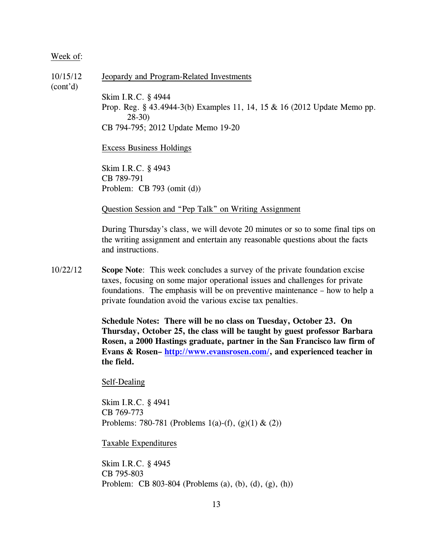10/15/12 Jeopardy and Program-Related Investments (cont'd) Skim I.R.C. § 4944 Prop. Reg. § 43.4944-3(b) Examples 11, 14, 15 & 16 (2012 Update Memo pp. 28-30) CB 794-795; 2012 Update Memo 19-20 Excess Business Holdings

Skim I.R.C. § 4943 CB 789-791 Problem: CB 793 (omit (d))

Question Session and "Pep Talk" on Writing Assignment

During Thursday's class, we will devote 20 minutes or so to some final tips on the writing assignment and entertain any reasonable questions about the facts and instructions.

10/22/12 **Scope Note**: This week concludes a survey of the private foundation excise taxes, focusing on some major operational issues and challenges for private foundations. The emphasis will be on preventive maintenance – how to help a private foundation avoid the various excise tax penalties.

> **Schedule Notes: There will be no class on Tuesday, October 23. On Thursday, October 25, the class will be taught by guest professor Barbara Rosen, a 2000 Hastings graduate, partner in the San Francisco law firm of Evans & Rosen–<http://www.evansrosen.com/>, and experienced teacher in the field.**

Self-Dealing

Skim I.R.C. § 4941 CB 769-773 Problems: 780-781 (Problems 1(a)-(f), (g)(1) & (2))

Taxable Expenditures

Skim I.R.C. § 4945 CB 795-803 Problem: CB 803-804 (Problems (a), (b), (d), (g), (h))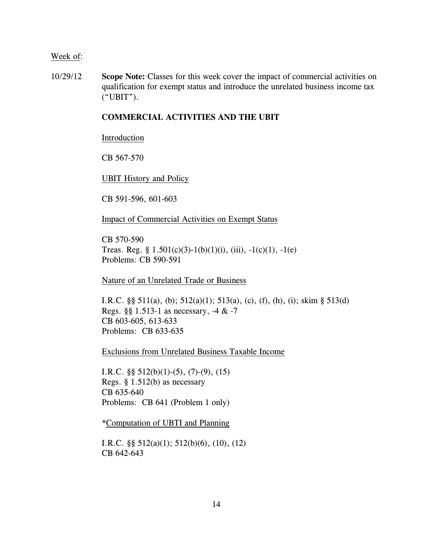10/29/12 **Scope Note:** Classes for this week cover the impact of commercial activities on qualification for exempt status and introduce the unrelated business income tax ("UBIT").

## **COMMERCIAL ACTIVITIES AND THE UBIT**

#### Introduction

CB 567-570

UBIT History and Policy

CB 591-596, 601-603

Impact of Commercial Activities on Exempt Status

CB 570-590 Treas. Reg. §  $1.501(c)(3)-1(b)(1)(i)$ , (iii),  $-1(c)(1)$ ,  $-1(e)$ Problems: CB 590-591

Nature of an Unrelated Trade or Business

I.R.C. §§ 511(a), (b); 512(a)(1); 513(a), (c), (f), (h), (i); skim § 513(d) Regs. §§ 1.513-1 as necessary, -4 & -7 CB 603-605, 613-633 Problems: CB 633-635

Exclusions from Unrelated Business Taxable Income

I.R.C.  $\S\S 512(b)(1)-(5)$ , (7)-(9), (15) Regs. § 1.512(b) as necessary CB 635-640 Problems: CB 641 (Problem 1 only)

\*Computation of UBTI and Planning

I.R.C. §§ 512(a)(1); 512(b)(6), (10), (12) CB 642-643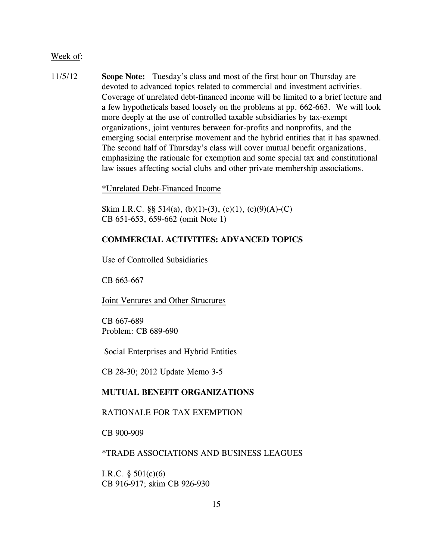11/5/12 **Scope Note:** Tuesday's class and most of the first hour on Thursday are devoted to advanced topics related to commercial and investment activities. Coverage of unrelated debt-financed income will be limited to a brief lecture and a few hypotheticals based loosely on the problems at pp. 662-663. We will look more deeply at the use of controlled taxable subsidiaries by tax-exempt organizations, joint ventures between for-profits and nonprofits, and the emerging social enterprise movement and the hybrid entities that it has spawned. The second half of Thursday's class will cover mutual benefit organizations, emphasizing the rationale for exemption and some special tax and constitutional law issues affecting social clubs and other private membership associations.

\*Unrelated Debt-Financed Income

Skim I.R.C.  $\S$ § 514(a), (b)(1)-(3), (c)(1), (c)(9)(A)-(C) CB 651-653, 659-662 (omit Note 1)

## **COMMERCIAL ACTIVITIES: ADVANCED TOPICS**

Use of Controlled Subsidiaries

CB 663-667

Joint Ventures and Other Structures

CB 667-689 Problem: CB 689-690

Social Enterprises and Hybrid Entities

CB 28-30; 2012 Update Memo 3-5

## **MUTUAL BENEFIT ORGANIZATIONS**

## RATIONALE FOR TAX EXEMPTION

CB 900-909

### \*TRADE ASSOCIATIONS AND BUSINESS LEAGUES

I.R.C.  $\S 501(c)(6)$ CB 916-917; skim CB 926-930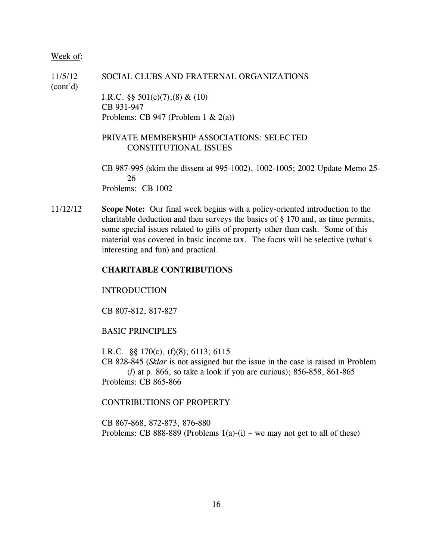11/5/12 SOCIAL CLUBS AND FRATERNAL ORGANIZATIONS (cont'd) I.R.C. §§ 501(c)(7),(8) & (10) CB 931-947 Problems: CB 947 (Problem 1  $\& 2(a)$ ) PRIVATE MEMBERSHIP ASSOCIATIONS: SELECTED CONSTITUTIONAL ISSUES CB 987-995 (skim the dissent at 995-1002), 1002-1005; 2002 Update Memo 25- 26

Problems: CB 1002

11/12/12 **Scope Note:** Our final week begins with a policy-oriented introduction to the charitable deduction and then surveys the basics of § 170 and, as time permits, some special issues related to gifts of property other than cash. Some of this material was covered in basic income tax. The focus will be selective (what's interesting and fun) and practical.

## **CHARITABLE CONTRIBUTIONS**

#### INTRODUCTION

CB 807-812, 817-827

## BASIC PRINCIPLES

I.R.C. §§ 170(c), (f)(8); 6113; 6115 CB 828-845 (*Sklar* is not assigned but the issue in the case is raised in Problem

(*l*) at p. 866, so take a look if you are curious); 856-858, 861-865 Problems: CB 865-866

## CONTRIBUTIONS OF PROPERTY

CB 867-868, 872-873, 876-880 Problems: CB 888-889 (Problems  $1(a)-(i)$  – we may not get to all of these)